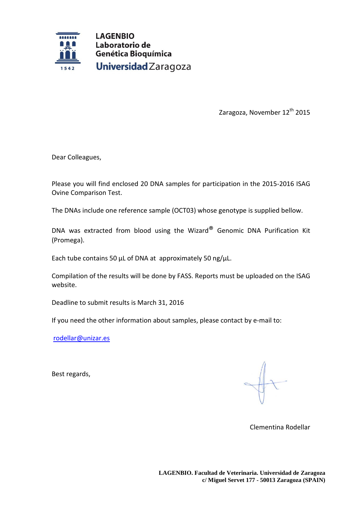

Zaragoza, November 12<sup>th</sup> 2015

Dear Colleagues,

Please you will find enclosed 20 DNA samples for participation in the 2015-2016 ISAG Ovine Comparison Test.

The DNAs include one reference sample (OCT03) whose genotype is supplied bellow.

DNA was extracted from blood using the Wizard® Genomic DNA Purification Kit (Promega).

Each tube contains 50 μL of DNA at approximately 50 ng/μL.

Compilation of the results will be done by FASS. Reports must be uploaded on the ISAG website.

Deadline to submit results is March 31, 2016

If you need the other information about samples, please contact by e-mail to:

[rodellar@unizar.es](mailto:rodellar@unizar.es)

Best regards,

Clementina Rodellar